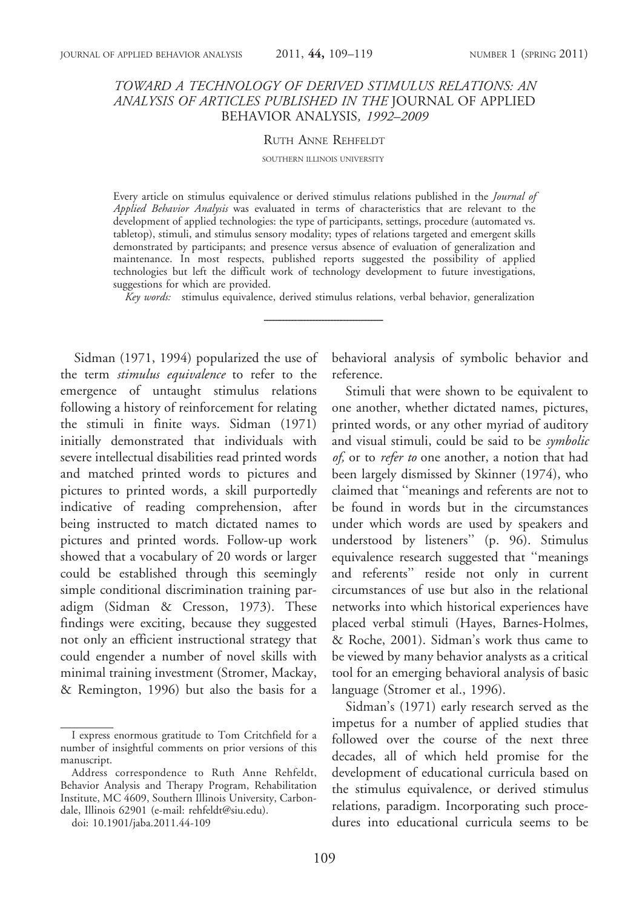## TOWARD A TECHNOLOGY OF DERIVED STIMULUS RELATIONS: AN ANALYSIS OF ARTICLES PUBLISHED IN THE JOURNAL OF APPLIED BEHAVIOR ANALYSIS, 1992–2009

#### RUTH ANNE REHFELDT

#### SOUTHERN ILLINOIS UNIVERSITY

Every article on stimulus equivalence or derived stimulus relations published in the Journal of Applied Behavior Analysis was evaluated in terms of characteristics that are relevant to the development of applied technologies: the type of participants, settings, procedure (automated vs. tabletop), stimuli, and stimulus sensory modality; types of relations targeted and emergent skills demonstrated by participants; and presence versus absence of evaluation of generalization and maintenance. In most respects, published reports suggested the possibility of applied technologies but left the difficult work of technology development to future investigations, suggestions for which are provided.

Key words: stimulus equivalence, derived stimulus relations, verbal behavior, generalization

Sidman (1971, 1994) popularized the use of the term stimulus equivalence to refer to the emergence of untaught stimulus relations following a history of reinforcement for relating the stimuli in finite ways. Sidman (1971) initially demonstrated that individuals with severe intellectual disabilities read printed words and matched printed words to pictures and pictures to printed words, a skill purportedly indicative of reading comprehension, after being instructed to match dictated names to pictures and printed words. Follow-up work showed that a vocabulary of 20 words or larger could be established through this seemingly simple conditional discrimination training paradigm (Sidman & Cresson, 1973). These findings were exciting, because they suggested not only an efficient instructional strategy that could engender a number of novel skills with minimal training investment (Stromer, Mackay, & Remington, 1996) but also the basis for a

doi: 10.1901/jaba.2011.44-109

behavioral analysis of symbolic behavior and reference.

Stimuli that were shown to be equivalent to one another, whether dictated names, pictures, printed words, or any other myriad of auditory and visual stimuli, could be said to be symbolic of, or to refer to one another, a notion that had been largely dismissed by Skinner (1974), who claimed that ''meanings and referents are not to be found in words but in the circumstances under which words are used by speakers and understood by listeners'' (p. 96). Stimulus equivalence research suggested that ''meanings and referents'' reside not only in current circumstances of use but also in the relational networks into which historical experiences have placed verbal stimuli (Hayes, Barnes-Holmes, & Roche, 2001). Sidman's work thus came to be viewed by many behavior analysts as a critical tool for an emerging behavioral analysis of basic language (Stromer et al., 1996).

Sidman's (1971) early research served as the impetus for a number of applied studies that followed over the course of the next three decades, all of which held promise for the development of educational curricula based on the stimulus equivalence, or derived stimulus relations, paradigm. Incorporating such procedures into educational curricula seems to be

I express enormous gratitude to Tom Critchfield for a number of insightful comments on prior versions of this manuscript.

Address correspondence to Ruth Anne Rehfeldt, Behavior Analysis and Therapy Program, Rehabilitation Institute, MC 4609, Southern Illinois University, Carbondale, Illinois 62901 (e-mail: rehfeldt@siu.edu).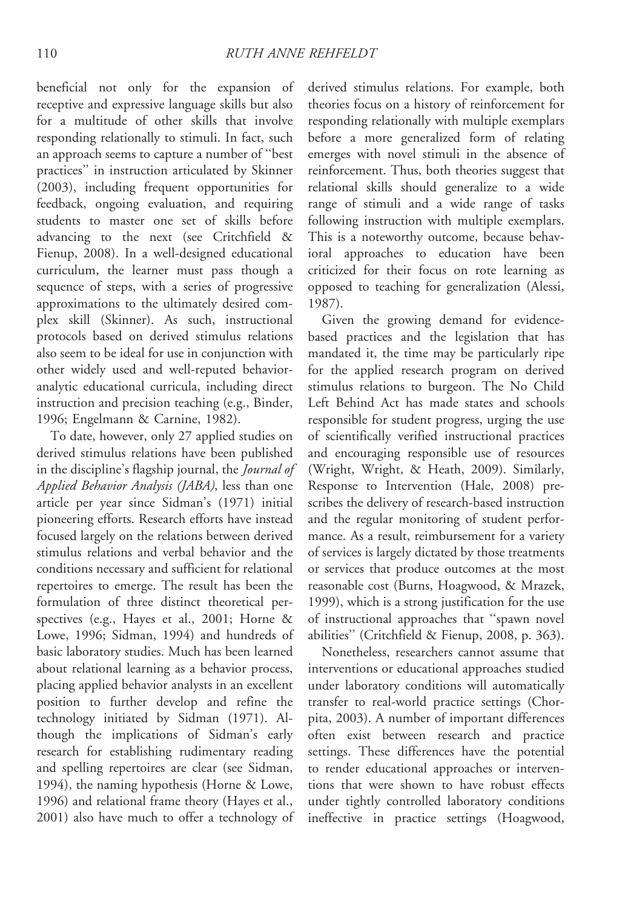beneficial not only for the expansion of receptive and expressive language skills but also for a multitude of other skills that involve responding relationally to stimuli. In fact, such an approach seems to capture a number of ''best practices'' in instruction articulated by Skinner (2003), including frequent opportunities for feedback, ongoing evaluation, and requiring students to master one set of skills before advancing to the next (see Critchfield & Fienup, 2008). In a well-designed educational curriculum, the learner must pass though a sequence of steps, with a series of progressive approximations to the ultimately desired complex skill (Skinner). As such, instructional protocols based on derived stimulus relations also seem to be ideal for use in conjunction with other widely used and well-reputed behavioranalytic educational curricula, including direct instruction and precision teaching (e.g., Binder, 1996; Engelmann & Carnine, 1982).

To date, however, only 27 applied studies on derived stimulus relations have been published in the discipline's flagship journal, the Journal of Applied Behavior Analysis (JABA), less than one article per year since Sidman's (1971) initial pioneering efforts. Research efforts have instead focused largely on the relations between derived stimulus relations and verbal behavior and the conditions necessary and sufficient for relational repertoires to emerge. The result has been the formulation of three distinct theoretical perspectives (e.g., Hayes et al., 2001; Horne & Lowe, 1996; Sidman, 1994) and hundreds of basic laboratory studies. Much has been learned about relational learning as a behavior process, placing applied behavior analysts in an excellent position to further develop and refine the technology initiated by Sidman (1971). Although the implications of Sidman's early research for establishing rudimentary reading and spelling repertoires are clear (see Sidman, 1994), the naming hypothesis (Horne & Lowe, 1996) and relational frame theory (Hayes et al., 2001) also have much to offer a technology of

derived stimulus relations. For example, both theories focus on a history of reinforcement for responding relationally with multiple exemplars before a more generalized form of relating emerges with novel stimuli in the absence of reinforcement. Thus, both theories suggest that relational skills should generalize to a wide range of stimuli and a wide range of tasks following instruction with multiple exemplars. This is a noteworthy outcome, because behavioral approaches to education have been criticized for their focus on rote learning as opposed to teaching for generalization (Alessi, 1987).

Given the growing demand for evidencebased practices and the legislation that has mandated it, the time may be particularly ripe for the applied research program on derived stimulus relations to burgeon. The No Child Left Behind Act has made states and schools responsible for student progress, urging the use of scientifically verified instructional practices and encouraging responsible use of resources (Wright, Wright, & Heath, 2009). Similarly, Response to Intervention (Hale, 2008) prescribes the delivery of research-based instruction and the regular monitoring of student performance. As a result, reimbursement for a variety of services is largely dictated by those treatments or services that produce outcomes at the most reasonable cost (Burns, Hoagwood, & Mrazek, 1999), which is a strong justification for the use of instructional approaches that ''spawn novel abilities'' (Critchfield & Fienup, 2008, p. 363).

Nonetheless, researchers cannot assume that interventions or educational approaches studied under laboratory conditions will automatically transfer to real-world practice settings (Chorpita, 2003). A number of important differences often exist between research and practice settings. These differences have the potential to render educational approaches or interventions that were shown to have robust effects under tightly controlled laboratory conditions ineffective in practice settings (Hoagwood,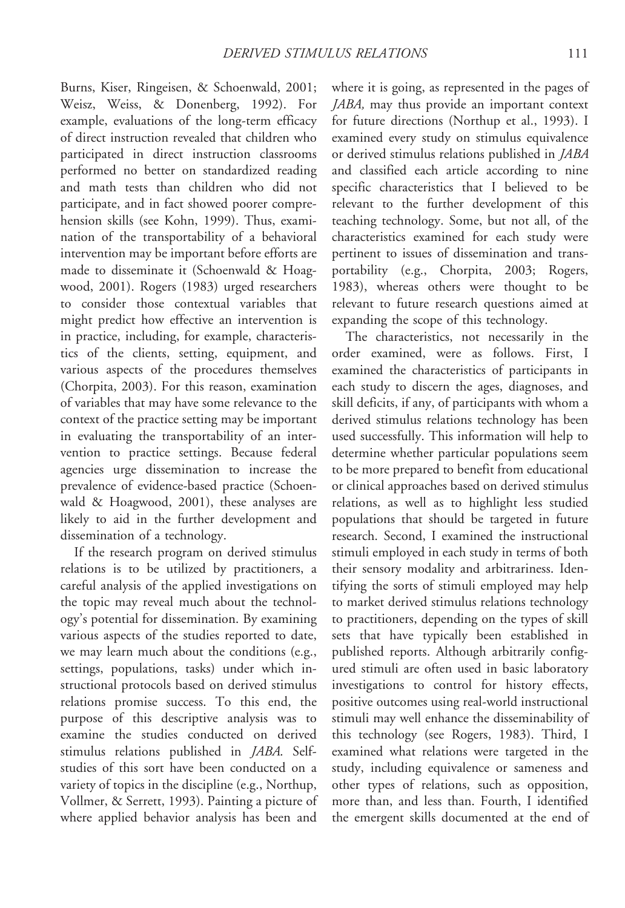Burns, Kiser, Ringeisen, & Schoenwald, 2001; Weisz, Weiss, & Donenberg, 1992). For example, evaluations of the long-term efficacy of direct instruction revealed that children who participated in direct instruction classrooms performed no better on standardized reading and math tests than children who did not participate, and in fact showed poorer comprehension skills (see Kohn, 1999). Thus, examination of the transportability of a behavioral intervention may be important before efforts are made to disseminate it (Schoenwald & Hoagwood, 2001). Rogers (1983) urged researchers to consider those contextual variables that might predict how effective an intervention is in practice, including, for example, characteristics of the clients, setting, equipment, and various aspects of the procedures themselves (Chorpita, 2003). For this reason, examination of variables that may have some relevance to the context of the practice setting may be important in evaluating the transportability of an intervention to practice settings. Because federal agencies urge dissemination to increase the prevalence of evidence-based practice (Schoenwald & Hoagwood, 2001), these analyses are likely to aid in the further development and dissemination of a technology.

If the research program on derived stimulus relations is to be utilized by practitioners, a careful analysis of the applied investigations on the topic may reveal much about the technology's potential for dissemination. By examining various aspects of the studies reported to date, we may learn much about the conditions (e.g., settings, populations, tasks) under which instructional protocols based on derived stimulus relations promise success. To this end, the purpose of this descriptive analysis was to examine the studies conducted on derived stimulus relations published in JABA. Selfstudies of this sort have been conducted on a variety of topics in the discipline (e.g., Northup, Vollmer, & Serrett, 1993). Painting a picture of where applied behavior analysis has been and

where it is going, as represented in the pages of JABA, may thus provide an important context for future directions (Northup et al., 1993). I examined every study on stimulus equivalence or derived stimulus relations published in JABA and classified each article according to nine specific characteristics that I believed to be relevant to the further development of this teaching technology. Some, but not all, of the characteristics examined for each study were pertinent to issues of dissemination and transportability (e.g., Chorpita, 2003; Rogers, 1983), whereas others were thought to be relevant to future research questions aimed at expanding the scope of this technology.

The characteristics, not necessarily in the order examined, were as follows. First, I examined the characteristics of participants in each study to discern the ages, diagnoses, and skill deficits, if any, of participants with whom a derived stimulus relations technology has been used successfully. This information will help to determine whether particular populations seem to be more prepared to benefit from educational or clinical approaches based on derived stimulus relations, as well as to highlight less studied populations that should be targeted in future research. Second, I examined the instructional stimuli employed in each study in terms of both their sensory modality and arbitrariness. Identifying the sorts of stimuli employed may help to market derived stimulus relations technology to practitioners, depending on the types of skill sets that have typically been established in published reports. Although arbitrarily configured stimuli are often used in basic laboratory investigations to control for history effects, positive outcomes using real-world instructional stimuli may well enhance the disseminability of this technology (see Rogers, 1983). Third, I examined what relations were targeted in the study, including equivalence or sameness and other types of relations, such as opposition, more than, and less than. Fourth, I identified the emergent skills documented at the end of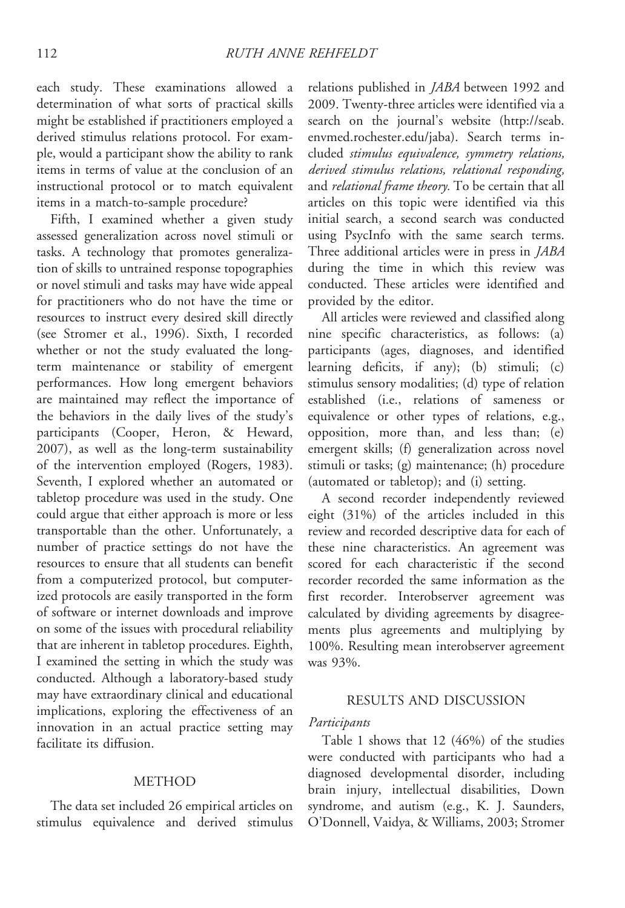each study. These examinations allowed a determination of what sorts of practical skills might be established if practitioners employed a derived stimulus relations protocol. For example, would a participant show the ability to rank items in terms of value at the conclusion of an instructional protocol or to match equivalent items in a match-to-sample procedure?

Fifth, I examined whether a given study assessed generalization across novel stimuli or tasks. A technology that promotes generalization of skills to untrained response topographies or novel stimuli and tasks may have wide appeal for practitioners who do not have the time or resources to instruct every desired skill directly (see Stromer et al., 1996). Sixth, I recorded whether or not the study evaluated the longterm maintenance or stability of emergent performances. How long emergent behaviors are maintained may reflect the importance of the behaviors in the daily lives of the study's participants (Cooper, Heron, & Heward, 2007), as well as the long-term sustainability of the intervention employed (Rogers, 1983). Seventh, I explored whether an automated or tabletop procedure was used in the study. One could argue that either approach is more or less transportable than the other. Unfortunately, a number of practice settings do not have the resources to ensure that all students can benefit from a computerized protocol, but computerized protocols are easily transported in the form of software or internet downloads and improve on some of the issues with procedural reliability that are inherent in tabletop procedures. Eighth, I examined the setting in which the study was conducted. Although a laboratory-based study may have extraordinary clinical and educational implications, exploring the effectiveness of an innovation in an actual practice setting may facilitate its diffusion.

## METHOD

The data set included 26 empirical articles on stimulus equivalence and derived stimulus

relations published in *JABA* between 1992 and 2009. Twenty-three articles were identified via a search on the journal's website (http://seab. envmed.rochester.edu/jaba). Search terms included stimulus equivalence, symmetry relations, derived stimulus relations, relational responding, and *relational frame theory*. To be certain that all articles on this topic were identified via this initial search, a second search was conducted using PsycInfo with the same search terms. Three additional articles were in press in JABA during the time in which this review was conducted. These articles were identified and provided by the editor.

All articles were reviewed and classified along nine specific characteristics, as follows: (a) participants (ages, diagnoses, and identified learning deficits, if any); (b) stimuli; (c) stimulus sensory modalities; (d) type of relation established (i.e., relations of sameness or equivalence or other types of relations, e.g., opposition, more than, and less than; (e) emergent skills; (f) generalization across novel stimuli or tasks; (g) maintenance; (h) procedure (automated or tabletop); and (i) setting.

A second recorder independently reviewed eight (31%) of the articles included in this review and recorded descriptive data for each of these nine characteristics. An agreement was scored for each characteristic if the second recorder recorded the same information as the first recorder. Interobserver agreement was calculated by dividing agreements by disagreements plus agreements and multiplying by 100%. Resulting mean interobserver agreement was 93%.

#### RESULTS AND DISCUSSION

#### Participants

Table 1 shows that 12 (46%) of the studies were conducted with participants who had a diagnosed developmental disorder, including brain injury, intellectual disabilities, Down syndrome, and autism (e.g., K. J. Saunders, O'Donnell, Vaidya, & Williams, 2003; Stromer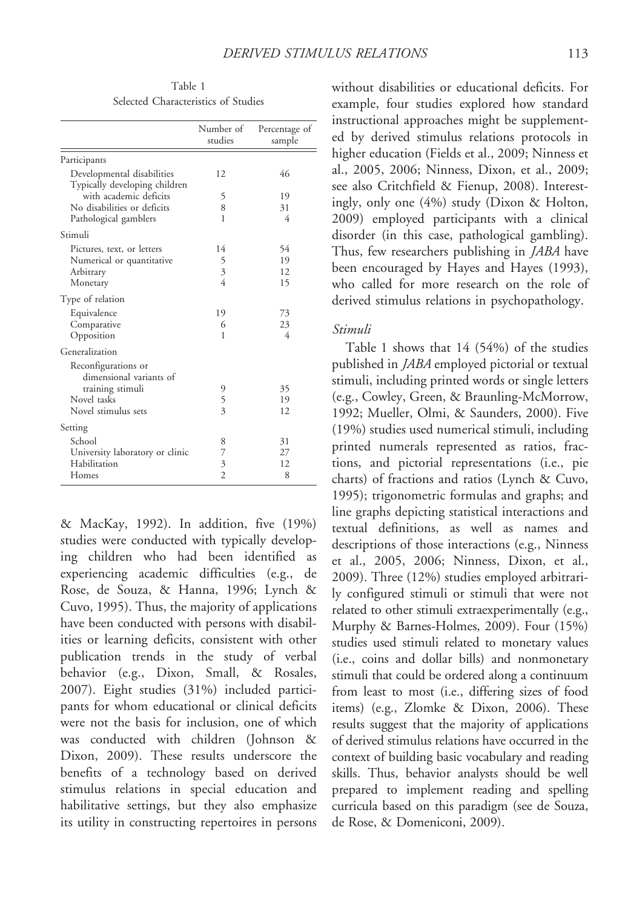Table 1 Selected Characteristics of Studies

|                                 | Number of<br>studies     | Percentage of<br>sample |
|---------------------------------|--------------------------|-------------------------|
| Participants                    |                          |                         |
| Developmental disabilities      | 12                       | 46                      |
| Typically developing children   |                          |                         |
| with academic deficits          | 5                        | 19                      |
| No disabilities or deficits     | 8                        | 31                      |
| Pathological gamblers           | 1                        | 4                       |
| Stimuli                         |                          |                         |
| Pictures, text, or letters      | 14                       | 54                      |
| Numerical or quantitative       | 5                        | 19                      |
| Arbitrary                       | $\overline{\mathbf{3}}$  | 12                      |
| Monetary                        | $\overline{4}$           | 15                      |
| Type of relation                |                          |                         |
| Equivalence                     | 19                       | 73                      |
| Comparative                     | 6                        | 23                      |
| Opposition                      | 1                        | 4                       |
| Generalization                  |                          |                         |
| Reconfigurations or             |                          |                         |
| dimensional variants of         |                          |                         |
| training stimuli                | 9                        | 35                      |
| Novel tasks                     | 5                        | 19                      |
| Novel stimulus sets             | $\overline{\mathcal{E}}$ | 12                      |
| Setting                         |                          |                         |
| School                          | 8                        | 31                      |
| University laboratory or clinic | 7                        | 27                      |
| Habilitation                    | 3                        | 12                      |
| Homes                           | $\overline{c}$           | 8                       |

& MacKay, 1992). In addition, five (19%) studies were conducted with typically developing children who had been identified as experiencing academic difficulties (e.g., de Rose, de Souza, & Hanna, 1996; Lynch & Cuvo, 1995). Thus, the majority of applications have been conducted with persons with disabilities or learning deficits, consistent with other publication trends in the study of verbal behavior (e.g., Dixon, Small, & Rosales, 2007). Eight studies (31%) included participants for whom educational or clinical deficits were not the basis for inclusion, one of which was conducted with children (Johnson & Dixon, 2009). These results underscore the benefits of a technology based on derived stimulus relations in special education and habilitative settings, but they also emphasize its utility in constructing repertoires in persons without disabilities or educational deficits. For example, four studies explored how standard instructional approaches might be supplemented by derived stimulus relations protocols in higher education (Fields et al., 2009; Ninness et al., 2005, 2006; Ninness, Dixon, et al., 2009; see also Critchfield & Fienup, 2008). Interestingly, only one (4%) study (Dixon & Holton, 2009) employed participants with a clinical disorder (in this case, pathological gambling). Thus, few researchers publishing in *JABA* have been encouraged by Hayes and Hayes (1993), who called for more research on the role of derived stimulus relations in psychopathology.

#### Stimuli

Table 1 shows that 14 (54%) of the studies published in JABA employed pictorial or textual stimuli, including printed words or single letters (e.g., Cowley, Green, & Braunling-McMorrow, 1992; Mueller, Olmi, & Saunders, 2000). Five (19%) studies used numerical stimuli, including printed numerals represented as ratios, fractions, and pictorial representations (i.e., pie charts) of fractions and ratios (Lynch & Cuvo, 1995); trigonometric formulas and graphs; and line graphs depicting statistical interactions and textual definitions, as well as names and descriptions of those interactions (e.g., Ninness et al., 2005, 2006; Ninness, Dixon, et al., 2009). Three (12%) studies employed arbitrarily configured stimuli or stimuli that were not related to other stimuli extraexperimentally (e.g., Murphy & Barnes-Holmes, 2009). Four (15%) studies used stimuli related to monetary values (i.e., coins and dollar bills) and nonmonetary stimuli that could be ordered along a continuum from least to most (i.e., differing sizes of food items) (e.g., Zlomke & Dixon, 2006). These results suggest that the majority of applications of derived stimulus relations have occurred in the context of building basic vocabulary and reading skills. Thus, behavior analysts should be well prepared to implement reading and spelling curricula based on this paradigm (see de Souza, de Rose, & Domeniconi, 2009).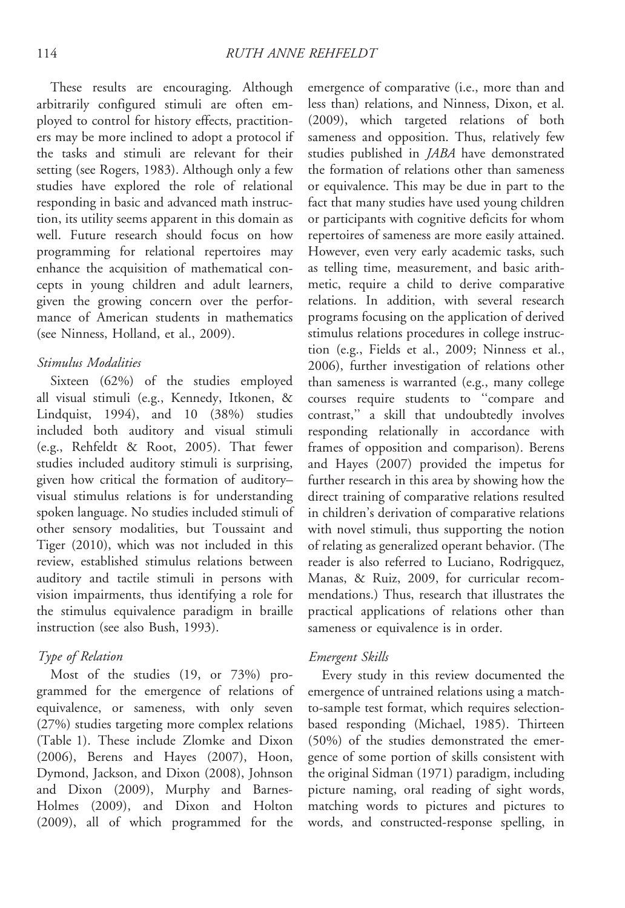These results are encouraging. Although arbitrarily configured stimuli are often employed to control for history effects, practitioners may be more inclined to adopt a protocol if the tasks and stimuli are relevant for their setting (see Rogers, 1983). Although only a few studies have explored the role of relational responding in basic and advanced math instruction, its utility seems apparent in this domain as well. Future research should focus on how programming for relational repertoires may enhance the acquisition of mathematical concepts in young children and adult learners, given the growing concern over the performance of American students in mathematics (see Ninness, Holland, et al., 2009).

# Stimulus Modalities

Sixteen (62%) of the studies employed all visual stimuli (e.g., Kennedy, Itkonen, & Lindquist, 1994), and 10 (38%) studies included both auditory and visual stimuli (e.g., Rehfeldt & Root, 2005). That fewer studies included auditory stimuli is surprising, given how critical the formation of auditory– visual stimulus relations is for understanding spoken language. No studies included stimuli of other sensory modalities, but Toussaint and Tiger (2010), which was not included in this review, established stimulus relations between auditory and tactile stimuli in persons with vision impairments, thus identifying a role for the stimulus equivalence paradigm in braille instruction (see also Bush, 1993).

### Type of Relation

Most of the studies (19, or 73%) programmed for the emergence of relations of equivalence, or sameness, with only seven (27%) studies targeting more complex relations (Table 1). These include Zlomke and Dixon (2006), Berens and Hayes (2007), Hoon, Dymond, Jackson, and Dixon (2008), Johnson and Dixon (2009), Murphy and Barnes-Holmes (2009), and Dixon and Holton (2009), all of which programmed for the

emergence of comparative (i.e., more than and less than) relations, and Ninness, Dixon, et al. (2009), which targeted relations of both sameness and opposition. Thus, relatively few studies published in *JABA* have demonstrated the formation of relations other than sameness or equivalence. This may be due in part to the fact that many studies have used young children or participants with cognitive deficits for whom repertoires of sameness are more easily attained. However, even very early academic tasks, such as telling time, measurement, and basic arithmetic, require a child to derive comparative relations. In addition, with several research programs focusing on the application of derived stimulus relations procedures in college instruction (e.g., Fields et al., 2009; Ninness et al., 2006), further investigation of relations other than sameness is warranted (e.g., many college courses require students to ''compare and contrast,'' a skill that undoubtedly involves responding relationally in accordance with frames of opposition and comparison). Berens and Hayes (2007) provided the impetus for further research in this area by showing how the direct training of comparative relations resulted in children's derivation of comparative relations with novel stimuli, thus supporting the notion of relating as generalized operant behavior. (The reader is also referred to Luciano, Rodrigquez, Manas, & Ruiz, 2009, for curricular recommendations.) Thus, research that illustrates the practical applications of relations other than sameness or equivalence is in order.

### Emergent Skills

Every study in this review documented the emergence of untrained relations using a matchto-sample test format, which requires selectionbased responding (Michael, 1985). Thirteen (50%) of the studies demonstrated the emergence of some portion of skills consistent with the original Sidman (1971) paradigm, including picture naming, oral reading of sight words, matching words to pictures and pictures to words, and constructed-response spelling, in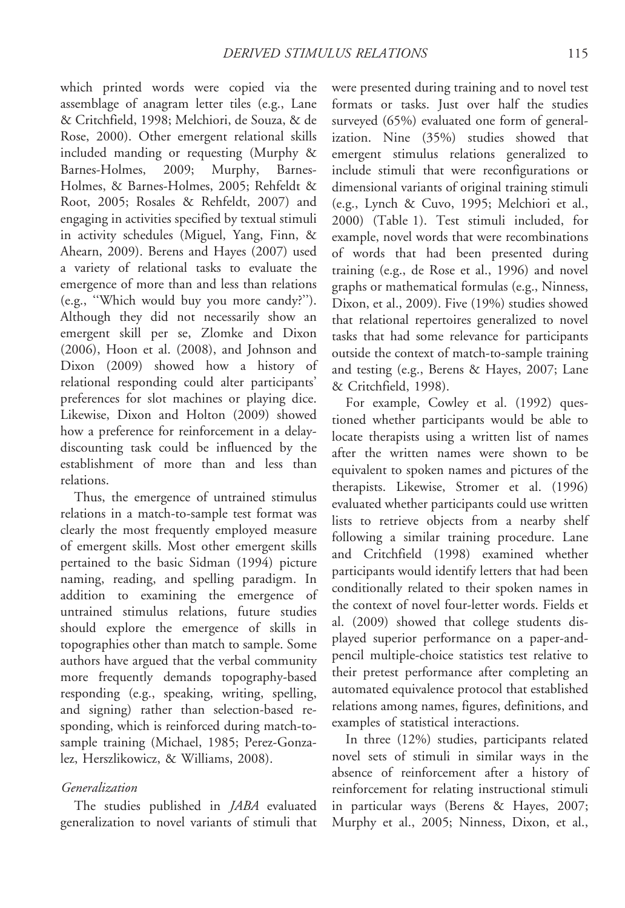which printed words were copied via the assemblage of anagram letter tiles (e.g., Lane & Critchfield, 1998; Melchiori, de Souza, & de Rose, 2000). Other emergent relational skills included manding or requesting (Murphy & Barnes-Holmes, 2009; Murphy, Barnes-Holmes, & Barnes-Holmes, 2005; Rehfeldt & Root, 2005; Rosales & Rehfeldt, 2007) and engaging in activities specified by textual stimuli in activity schedules (Miguel, Yang, Finn, & Ahearn, 2009). Berens and Hayes (2007) used a variety of relational tasks to evaluate the emergence of more than and less than relations (e.g., ''Which would buy you more candy?''). Although they did not necessarily show an emergent skill per se, Zlomke and Dixon (2006), Hoon et al. (2008), and Johnson and Dixon (2009) showed how a history of relational responding could alter participants' preferences for slot machines or playing dice. Likewise, Dixon and Holton (2009) showed how a preference for reinforcement in a delaydiscounting task could be influenced by the establishment of more than and less than relations.

Thus, the emergence of untrained stimulus relations in a match-to-sample test format was clearly the most frequently employed measure of emergent skills. Most other emergent skills pertained to the basic Sidman (1994) picture naming, reading, and spelling paradigm. In addition to examining the emergence of untrained stimulus relations, future studies should explore the emergence of skills in topographies other than match to sample. Some authors have argued that the verbal community more frequently demands topography-based responding (e.g., speaking, writing, spelling, and signing) rather than selection-based responding, which is reinforced during match-tosample training (Michael, 1985; Perez-Gonzalez, Herszlikowicz, & Williams, 2008).

# Generalization

The studies published in JABA evaluated generalization to novel variants of stimuli that were presented during training and to novel test formats or tasks. Just over half the studies surveyed (65%) evaluated one form of generalization. Nine (35%) studies showed that emergent stimulus relations generalized to include stimuli that were reconfigurations or dimensional variants of original training stimuli (e.g., Lynch & Cuvo, 1995; Melchiori et al., 2000) (Table 1). Test stimuli included, for example, novel words that were recombinations of words that had been presented during training (e.g., de Rose et al., 1996) and novel graphs or mathematical formulas (e.g., Ninness, Dixon, et al., 2009). Five (19%) studies showed that relational repertoires generalized to novel tasks that had some relevance for participants outside the context of match-to-sample training and testing (e.g., Berens & Hayes, 2007; Lane & Critchfield, 1998).

For example, Cowley et al. (1992) questioned whether participants would be able to locate therapists using a written list of names after the written names were shown to be equivalent to spoken names and pictures of the therapists. Likewise, Stromer et al. (1996) evaluated whether participants could use written lists to retrieve objects from a nearby shelf following a similar training procedure. Lane and Critchfield (1998) examined whether participants would identify letters that had been conditionally related to their spoken names in the context of novel four-letter words. Fields et al. (2009) showed that college students displayed superior performance on a paper-andpencil multiple-choice statistics test relative to their pretest performance after completing an automated equivalence protocol that established relations among names, figures, definitions, and examples of statistical interactions.

In three (12%) studies, participants related novel sets of stimuli in similar ways in the absence of reinforcement after a history of reinforcement for relating instructional stimuli in particular ways (Berens & Hayes, 2007; Murphy et al., 2005; Ninness, Dixon, et al.,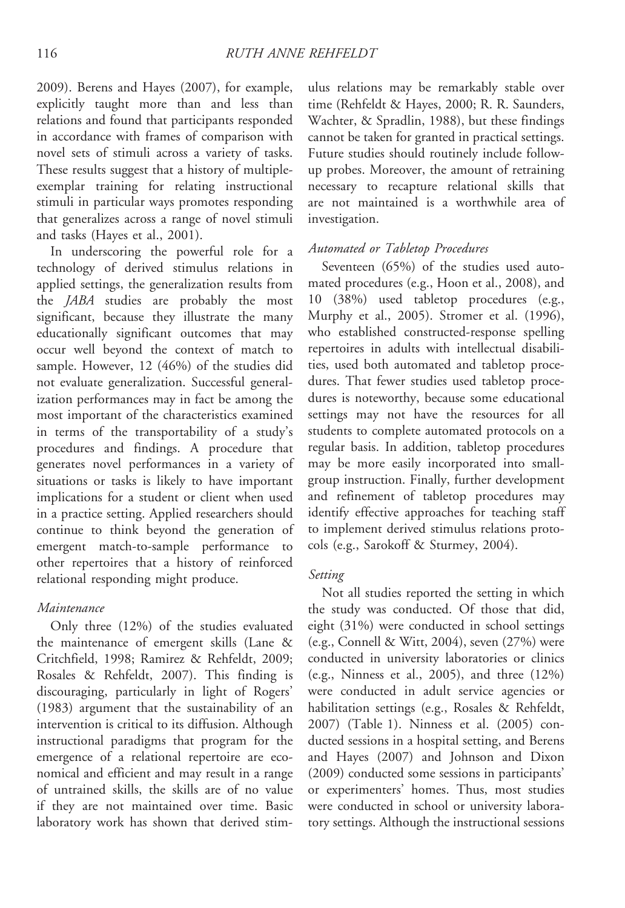2009). Berens and Hayes (2007), for example, explicitly taught more than and less than relations and found that participants responded in accordance with frames of comparison with novel sets of stimuli across a variety of tasks. These results suggest that a history of multipleexemplar training for relating instructional stimuli in particular ways promotes responding that generalizes across a range of novel stimuli and tasks (Hayes et al., 2001).

In underscoring the powerful role for a technology of derived stimulus relations in applied settings, the generalization results from the JABA studies are probably the most significant, because they illustrate the many educationally significant outcomes that may occur well beyond the context of match to sample. However, 12 (46%) of the studies did not evaluate generalization. Successful generalization performances may in fact be among the most important of the characteristics examined in terms of the transportability of a study's procedures and findings. A procedure that generates novel performances in a variety of situations or tasks is likely to have important implications for a student or client when used in a practice setting. Applied researchers should continue to think beyond the generation of emergent match-to-sample performance to other repertoires that a history of reinforced relational responding might produce.

### Maintenance

Only three (12%) of the studies evaluated the maintenance of emergent skills (Lane & Critchfield, 1998; Ramirez & Rehfeldt, 2009; Rosales & Rehfeldt, 2007). This finding is discouraging, particularly in light of Rogers' (1983) argument that the sustainability of an intervention is critical to its diffusion. Although instructional paradigms that program for the emergence of a relational repertoire are economical and efficient and may result in a range of untrained skills, the skills are of no value if they are not maintained over time. Basic laboratory work has shown that derived stim-

ulus relations may be remarkably stable over time (Rehfeldt & Hayes, 2000; R. R. Saunders, Wachter, & Spradlin, 1988), but these findings cannot be taken for granted in practical settings. Future studies should routinely include followup probes. Moreover, the amount of retraining necessary to recapture relational skills that are not maintained is a worthwhile area of investigation.

## Automated or Tabletop Procedures

Seventeen (65%) of the studies used automated procedures (e.g., Hoon et al., 2008), and 10 (38%) used tabletop procedures (e.g., Murphy et al., 2005). Stromer et al. (1996), who established constructed-response spelling repertoires in adults with intellectual disabilities, used both automated and tabletop procedures. That fewer studies used tabletop procedures is noteworthy, because some educational settings may not have the resources for all students to complete automated protocols on a regular basis. In addition, tabletop procedures may be more easily incorporated into smallgroup instruction. Finally, further development and refinement of tabletop procedures may identify effective approaches for teaching staff to implement derived stimulus relations protocols (e.g., Sarokoff & Sturmey, 2004).

### Setting

Not all studies reported the setting in which the study was conducted. Of those that did, eight (31%) were conducted in school settings (e.g., Connell & Witt, 2004), seven (27%) were conducted in university laboratories or clinics (e.g., Ninness et al., 2005), and three (12%) were conducted in adult service agencies or habilitation settings (e.g., Rosales & Rehfeldt, 2007) (Table 1). Ninness et al. (2005) conducted sessions in a hospital setting, and Berens and Hayes (2007) and Johnson and Dixon (2009) conducted some sessions in participants' or experimenters' homes. Thus, most studies were conducted in school or university laboratory settings. Although the instructional sessions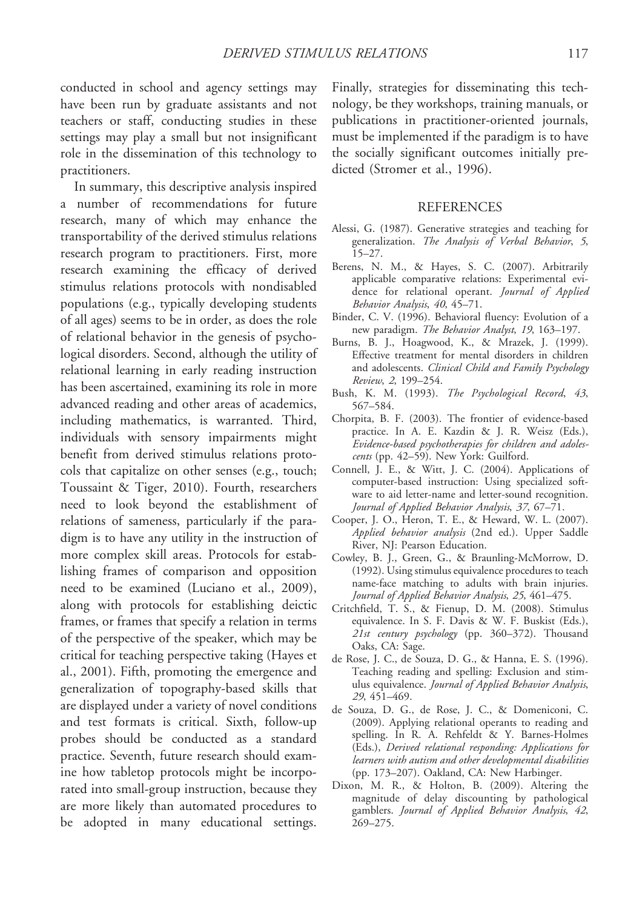conducted in school and agency settings may have been run by graduate assistants and not teachers or staff, conducting studies in these settings may play a small but not insignificant role in the dissemination of this technology to practitioners.

In summary, this descriptive analysis inspired a number of recommendations for future research, many of which may enhance the transportability of the derived stimulus relations research program to practitioners. First, more research examining the efficacy of derived stimulus relations protocols with nondisabled populations (e.g., typically developing students of all ages) seems to be in order, as does the role of relational behavior in the genesis of psychological disorders. Second, although the utility of relational learning in early reading instruction has been ascertained, examining its role in more advanced reading and other areas of academics, including mathematics, is warranted. Third, individuals with sensory impairments might benefit from derived stimulus relations protocols that capitalize on other senses (e.g., touch; Toussaint & Tiger, 2010). Fourth, researchers need to look beyond the establishment of relations of sameness, particularly if the paradigm is to have any utility in the instruction of more complex skill areas. Protocols for establishing frames of comparison and opposition need to be examined (Luciano et al., 2009), along with protocols for establishing deictic frames, or frames that specify a relation in terms of the perspective of the speaker, which may be critical for teaching perspective taking (Hayes et al., 2001). Fifth, promoting the emergence and generalization of topography-based skills that are displayed under a variety of novel conditions and test formats is critical. Sixth, follow-up probes should be conducted as a standard practice. Seventh, future research should examine how tabletop protocols might be incorporated into small-group instruction, because they are more likely than automated procedures to be adopted in many educational settings.

Finally, strategies for disseminating this technology, be they workshops, training manuals, or publications in practitioner-oriented journals, must be implemented if the paradigm is to have the socially significant outcomes initially predicted (Stromer et al., 1996).

#### REFERENCES

- Alessi, G. (1987). Generative strategies and teaching for generalization. The Analysis of Verbal Behavior, 5, 15–27.
- Berens, N. M., & Hayes, S. C. (2007). Arbitrarily applicable comparative relations: Experimental evidence for relational operant. Journal of Applied Behavior Analysis, 40, 45–71.
- Binder, C. V. (1996). Behavioral fluency: Evolution of a new paradigm. The Behavior Analyst, 19, 163–197.
- Burns, B. J., Hoagwood, K., & Mrazek, J. (1999). Effective treatment for mental disorders in children and adolescents. Clinical Child and Family Psychology Review, 2, 199–254.
- Bush, K. M. (1993). The Psychological Record, 43, 567–584.
- Chorpita, B. F. (2003). The frontier of evidence-based practice. In A. E. Kazdin & J. R. Weisz (Eds.), Evidence-based psychotherapies for children and adolescents (pp. 42–59). New York: Guilford.
- Connell, J. E., & Witt, J. C. (2004). Applications of computer-based instruction: Using specialized software to aid letter-name and letter-sound recognition. Journal of Applied Behavior Analysis, 37, 67–71.
- Cooper, J. O., Heron, T. E., & Heward, W. L. (2007). Applied behavior analysis (2nd ed.). Upper Saddle River, NJ: Pearson Education.
- Cowley, B. J., Green, G., & Braunling-McMorrow, D. (1992). Using stimulus equivalence procedures to teach name-face matching to adults with brain injuries. Journal of Applied Behavior Analysis, 25, 461–475.
- Critchfield, T. S., & Fienup, D. M. (2008). Stimulus equivalence. In S. F. Davis & W. F. Buskist (Eds.), 21st century psychology (pp. 360–372). Thousand Oaks, CA: Sage.
- de Rose, J. C., de Souza, D. G., & Hanna, E. S. (1996). Teaching reading and spelling: Exclusion and stimulus equivalence. Journal of Applied Behavior Analysis, 29, 451–469.
- de Souza, D. G., de Rose, J. C., & Domeniconi, C. (2009). Applying relational operants to reading and spelling. In R. A. Rehfeldt & Y. Barnes-Holmes (Eds.), Derived relational responding: Applications for learners with autism and other developmental disabilities (pp. 173–207). Oakland, CA: New Harbinger.
- Dixon, M. R., & Holton, B. (2009). Altering the magnitude of delay discounting by pathological gamblers. Journal of Applied Behavior Analysis, 42, 269–275.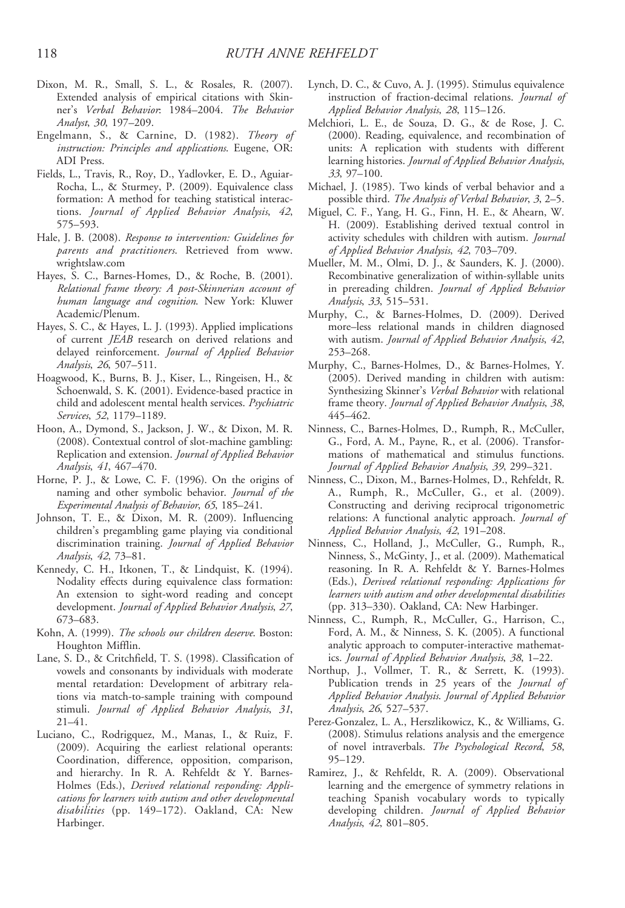- Dixon, M. R., Small, S. L., & Rosales, R. (2007). Extended analysis of empirical citations with Skinner's Verbal Behavior: 1984–2004. The Behavior Analyst, 30, 197–209.
- Engelmann, S., & Carnine, D. (1982). Theory of instruction: Principles and applications. Eugene, OR: ADI Press.
- Fields, L., Travis, R., Roy, D., Yadlovker, E. D., Aguiar-Rocha, L., & Sturmey, P. (2009). Equivalence class formation: A method for teaching statistical interactions. Journal of Applied Behavior Analysis, 42, 575–593.
- Hale, J. B. (2008). Response to intervention: Guidelines for parents and practitioners. Retrieved from www. wrightslaw.com
- Hayes, S. C., Barnes-Homes, D., & Roche, B. (2001). Relational frame theory: A post-Skinnerian account of human language and cognition. New York: Kluwer Academic/Plenum.
- Hayes, S. C., & Hayes, L. J. (1993). Applied implications of current JEAB research on derived relations and delayed reinforcement. Journal of Applied Behavior Analysis, 26, 507–511.
- Hoagwood, K., Burns, B. J., Kiser, L., Ringeisen, H., & Schoenwald, S. K. (2001). Evidence-based practice in child and adolescent mental health services. Psychiatric Services, 52, 1179–1189.
- Hoon, A., Dymond, S., Jackson, J. W., & Dixon, M. R. (2008). Contextual control of slot-machine gambling: Replication and extension. Journal of Applied Behavior Analysis, 41, 467–470.
- Horne, P. J., & Lowe, C. F. (1996). On the origins of naming and other symbolic behavior. Journal of the Experimental Analysis of Behavior, 65, 185–241.
- Johnson, T. E., & Dixon, M. R. (2009). Influencing children's pregambling game playing via conditional discrimination training. Journal of Applied Behavior Analysis, 42, 73–81.
- Kennedy, C. H., Itkonen, T., & Lindquist, K. (1994). Nodality effects during equivalence class formation: An extension to sight-word reading and concept development. Journal of Applied Behavior Analysis, 27, 673–683.
- Kohn, A. (1999). The schools our children deserve. Boston: Houghton Mifflin.
- Lane, S. D., & Critchfield, T. S. (1998). Classification of vowels and consonants by individuals with moderate mental retardation: Development of arbitrary relations via match-to-sample training with compound stimuli. Journal of Applied Behavior Analysis, 31, 21–41.
- Luciano, C., Rodrigquez, M., Manas, I., & Ruiz, F. (2009). Acquiring the earliest relational operants: Coordination, difference, opposition, comparison, and hierarchy. In R. A. Rehfeldt & Y. Barnes-Holmes (Eds.), Derived relational responding: Applications for learners with autism and other developmental disabilities (pp. 149-172). Oakland, CA: New Harbinger.
- Lynch, D. C., & Cuvo, A. J. (1995). Stimulus equivalence instruction of fraction-decimal relations. Journal of Applied Behavior Analysis, 28, 115–126.
- Melchiori, L. E., de Souza, D. G., & de Rose, J. C. (2000). Reading, equivalence, and recombination of units: A replication with students with different learning histories. Journal of Applied Behavior Analysis, 33, 97–100.
- Michael, J. (1985). Two kinds of verbal behavior and a possible third. The Analysis of Verbal Behavior, 3, 2–5.
- Miguel, C. F., Yang, H. G., Finn, H. E., & Ahearn, W. H. (2009). Establishing derived textual control in activity schedules with children with autism. Journal of Applied Behavior Analysis, 42, 703–709.
- Mueller, M. M., Olmi, D. J., & Saunders, K. J. (2000). Recombinative generalization of within-syllable units in prereading children. Journal of Applied Behavior Analysis, 33, 515–531.
- Murphy, C., & Barnes-Holmes, D. (2009). Derived more–less relational mands in children diagnosed with autism. Journal of Applied Behavior Analysis, 42, 253–268.
- Murphy, C., Barnes-Holmes, D., & Barnes-Holmes, Y. (2005). Derived manding in children with autism: Synthesizing Skinner's Verbal Behavior with relational frame theory. Journal of Applied Behavior Analysis, 38, 445–462.
- Ninness, C., Barnes-Holmes, D., Rumph, R., McCuller, G., Ford, A. M., Payne, R., et al. (2006). Transformations of mathematical and stimulus functions. Journal of Applied Behavior Analysis, 39, 299–321.
- Ninness, C., Dixon, M., Barnes-Holmes, D., Rehfeldt, R. A., Rumph, R., McCuller, G., et al. (2009). Constructing and deriving reciprocal trigonometric relations: A functional analytic approach. Journal of Applied Behavior Analysis, 42, 191–208.
- Ninness, C., Holland, J., McCuller, G., Rumph, R., Ninness, S., McGinty, J., et al. (2009). Mathematical reasoning. In R. A. Rehfeldt & Y. Barnes-Holmes (Eds.), Derived relational responding: Applications for learners with autism and other developmental disabilities (pp. 313–330). Oakland, CA: New Harbinger.
- Ninness, C., Rumph, R., McCuller, G., Harrison, C., Ford, A. M., & Ninness, S. K. (2005). A functional analytic approach to computer-interactive mathematics. Journal of Applied Behavior Analysis, 38, 1–22.
- Northup, J., Vollmer, T. R., & Serrett, K. (1993). Publication trends in 25 years of the Journal of Applied Behavior Analysis. Journal of Applied Behavior Analysis, 26, 527–537.
- Perez-Gonzalez, L. A., Herszlikowicz, K., & Williams, G. (2008). Stimulus relations analysis and the emergence of novel intraverbals. The Psychological Record, 58, 95–129.
- Ramirez, J., & Rehfeldt, R. A. (2009). Observational learning and the emergence of symmetry relations in teaching Spanish vocabulary words to typically developing children. Journal of Applied Behavior Analysis, 42, 801–805.